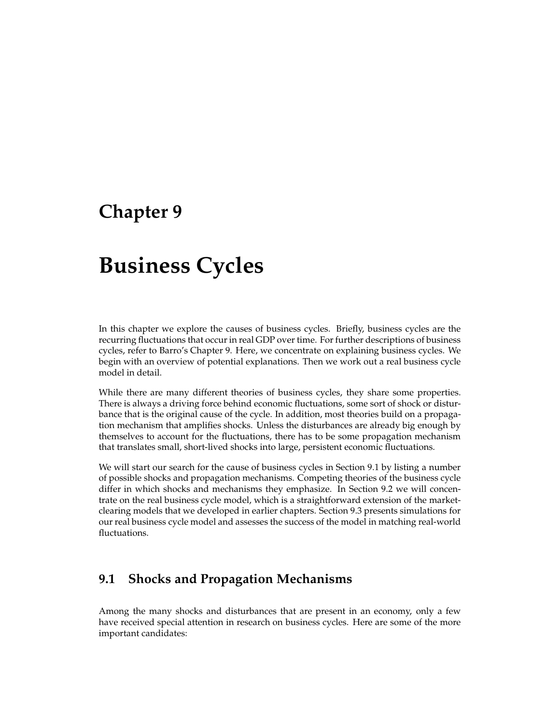## **Chapter 9**

# **Business Cycles**

In this chapter we explore the causes of business cycles. Briefly, business cycles are the recurring fluctuations that occur in real GDP over time. For further descriptions of business cycles, refer to Barro's Chapter 9. Here, we concentrate on explaining business cycles. We begin with an overview of potential explanations. Then we work out a real business cycle model in detail.

While there are many different theories of business cycles, they share some properties. There is always a driving force behind economic fluctuations, some sort of shock or disturbance that is the original cause of the cycle. In addition, most theories build on a propagation mechanism that amplifies shocks. Unless the disturbances are already big enough by themselves to account for the fluctuations, there has to be some propagation mechanism that translates small, short-lived shocks into large, persistent economic fluctuations.

We will start our search for the cause of business cycles in Section 9.1 by listing a number of possible shocks and propagation mechanisms. Competing theories of the business cycle differ in which shocks and mechanisms they emphasize. In Section 9.2 we will concentrate on the real business cycle model, which is a straightforward extension of the marketclearing models that we developed in earlier chapters. Section 9.3 presents simulations for our real business cycle model and assesses the success of the model in matching real-world fluctuations.

## **9.1 Shocks and Propagation Mechanisms**

Among the many shocks and disturbances that are present in an economy, only a few have received special attention in research on business cycles. Here are some of the more important candidates: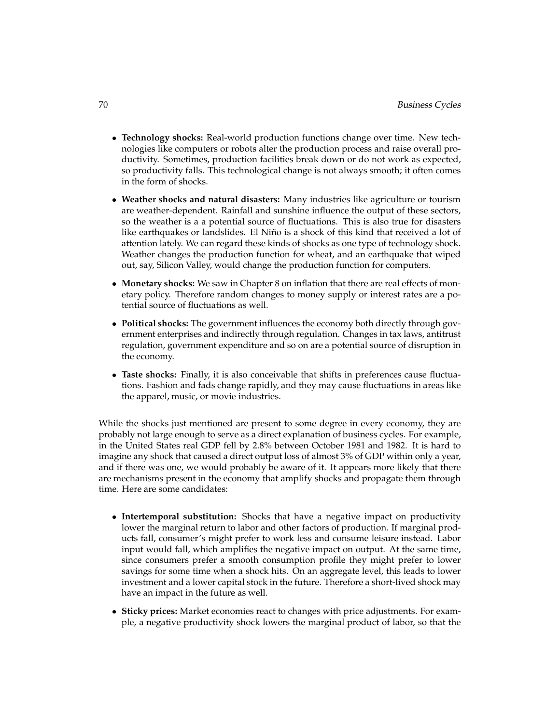- **Technology shocks:** Real-world production functions change over time. New technologies like computers or robots alter the production process and raise overall productivity. Sometimes, production facilities break down or do not work as expected, so productivity falls. This technological change is not always smooth; it often comes in the form of shocks.
- **Weather shocks and natural disasters:** Many industries like agriculture or tourism are weather-dependent. Rainfall and sunshine influence the output of these sectors, so the weather is a a potential source of fluctuations. This is also true for disasters like earthquakes or landslides. El Niño is a shock of this kind that received a lot of attention lately. We can regard these kinds of shocks as one type of technology shock. Weather changes the production function for wheat, and an earthquake that wiped out, say, Silicon Valley, would change the production function for computers.
- **Monetary shocks:** We saw in Chapter 8 on inflation that there are real effects of monetary policy. Therefore random changes to money supply or interest rates are a potential source of fluctuations as well.
- **Political shocks:** The government influences the economy both directly through government enterprises and indirectly through regulation. Changes in tax laws, antitrust regulation, government expenditure and so on are a potential source of disruption in the economy.
- **Taste shocks:** Finally, it is also conceivable that shifts in preferences cause fluctuations. Fashion and fads change rapidly, and they may cause fluctuations in areas like the apparel, music, or movie industries.

While the shocks just mentioned are present to some degree in every economy, they are probably not large enough to serve as a direct explanation of business cycles. For example, in the United States real GDP fell by 2.8% between October 1981 and 1982. It is hard to imagine any shock that caused a direct output loss of almost 3% of GDP within only a year, and if there was one, we would probably be aware of it. It appears more likely that there are mechanisms present in the economy that amplify shocks and propagate them through time. Here are some candidates:

- **Intertemporal substitution:** Shocks that have a negative impact on productivity lower the marginal return to labor and other factors of production. If marginal products fall, consumer's might prefer to work less and consume leisure instead. Labor input would fall, which amplifies the negative impact on output. At the same time, since consumers prefer a smooth consumption profile they might prefer to lower savings for some time when a shock hits. On an aggregate level, this leads to lower investment and a lower capital stock in the future. Therefore a short-lived shock may have an impact in the future as well.
- **Sticky prices:** Market economies react to changes with price adjustments. For example, a negative productivity shock lowers the marginal product of labor, so that the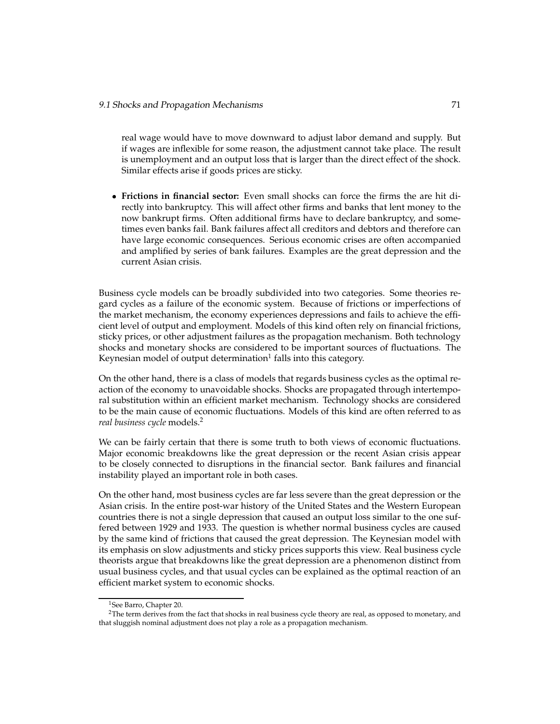real wage would have to move downward to adjust labor demand and supply. But if wages are inflexible for some reason, the adjustment cannot take place. The result is unemployment and an output loss that is larger than the direct effect of the shock. Similar effects arise if goods prices are sticky.

 **Frictions in financial sector:** Even small shocks can force the firms the are hit directly into bankruptcy. This will affect other firms and banks that lent money to the now bankrupt firms. Often additional firms have to declare bankruptcy, and sometimes even banks fail. Bank failures affect all creditors and debtors and therefore can have large economic consequences. Serious economic crises are often accompanied and amplified by series of bank failures. Examples are the great depression and the current Asian crisis.

Business cycle models can be broadly subdivided into two categories. Some theories regard cycles as a failure of the economic system. Because of frictions or imperfections of the market mechanism, the economy experiences depressions and fails to achieve the efficient level of output and employment. Models of this kind often rely on financial frictions, sticky prices, or other adjustment failures as the propagation mechanism. Both technology shocks and monetary shocks are considered to be important sources of fluctuations. The Keynesian model of output determination<sup>1</sup> falls into this category.

On the other hand, there is a class of models that regards business cycles as the optimal reaction of the economy to unavoidable shocks. Shocks are propagated through intertemporal substitution within an efficient market mechanism. Technology shocks are considered to be the main cause of economic fluctuations. Models of this kind are often referred to as *real business cycle* models.<sup>2</sup>

We can be fairly certain that there is some truth to both views of economic fluctuations. Major economic breakdowns like the great depression or the recent Asian crisis appear to be closely connected to disruptions in the financial sector. Bank failures and financial instability played an important role in both cases.

On the other hand, most business cycles are far less severe than the great depression or the Asian crisis. In the entire post-war history of the United States and the Western European countries there is not a single depression that caused an output loss similar to the one suffered between 1929 and 1933. The question is whether normal business cycles are caused by the same kind of frictions that caused the great depression. The Keynesian model with its emphasis on slow adjustments and sticky prices supports this view. Real business cycle theorists argue that breakdowns like the great depression are a phenomenon distinct from usual business cycles, and that usual cycles can be explained as the optimal reaction of an efficient market system to economic shocks.

<sup>&</sup>lt;sup>1</sup>See Barro, Chapter 20.

 $2$ The term derives from the fact that shocks in real business cycle theory are real, as opposed to monetary, and that sluggish nominal adjustment does not play a role as a propagation mechanism.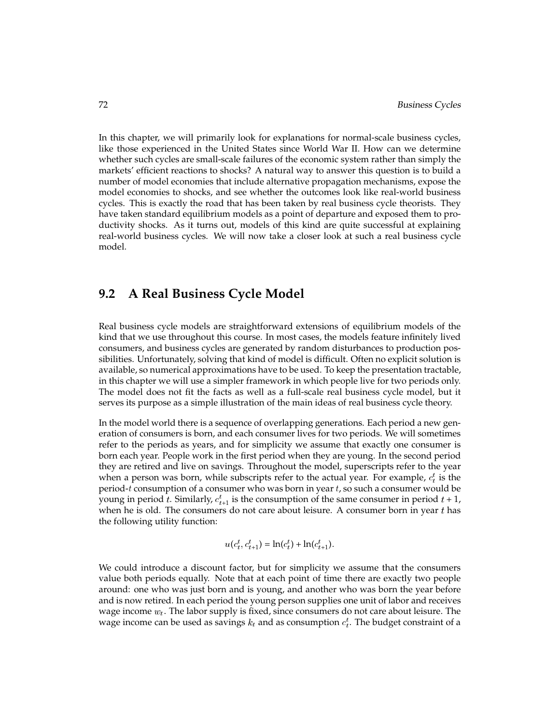In this chapter, we will primarily look for explanations for normal-scale business cycles, like those experienced in the United States since World War II. How can we determine whether such cycles are small-scale failures of the economic system rather than simply the markets'efficient reactions to shocks? A natural way to answer this question is to build a number of model economies that include alternative propagation mechanisms, expose the model economies to shocks, and see whether the outcomes look like real-world business cycles. This is exactly the road that has been taken by real business cycle theorists. They have taken standard equilibrium models as a point of departure and exposed them to productivity shocks. As it turns out, models of this kind are quite successful at explaining real-world business cycles. We will now take a closer look at such a real business cycle model.

## **9.2 A Real Business Cycle Model**

Real business cycle models are straightforward extensions of equilibrium models of the kind that we use throughout this course. In most cases, the models feature infinitely lived consumers, and business cycles are generated by random disturbances to production possibilities. Unfortunately, solving that kind of model is difficult. Often no explicit solution is available, so numerical approximations have to be used. To keep the presentation tractable, in this chapter we will use a simpler framework in which people live for two periods only. The model does not fit the facts as well as a full-scale real business cycle model, but it serves its purpose as a simple illustration of the main ideas of real business cycle theory.

In the model world there is a sequence of overlapping generations. Each period a new generation of consumers is born, and each consumer lives for two periods. We will sometimes refer to the periods as years, and for simplicity we assume that exactly one consumer is born each year. People work in the first period when they are young. In the second period they are retired and live on savings. Throughout the model, superscripts refer to the year when a person was born, while subscripts refer to the actual year. For example,  $c_t^t$  is the period-t consumption of a consumer who was born in year  $t$ , so such a consumer would be young in period t. Similarly,  $c_{t+1}^t$  is the consumption of the same consumer in period  $t$  + 1, when he is old. The consumers do not care about leisure. A consumer born in year  $t$  has the following utility function:

$$
u(c_t^t, c_{t+1}^t) = \ln(c_t^t) + \ln(c_{t+1}^t)
$$

We could introduce a discount factor, but for simplicity we assume that the consumers value both periods equally. Note that at each point of time there are exactly two people around: one who was just born and is young, and another who was born the year before and is now retired. In each period the young person supplies one unit of labor and receives wage income  $w_t$ . The labor supply is fixed, since consumers do not care about leisure. The wage income can be used as savings  $k_t$  and as consumption  $c_t^t$ . The budget constraint of a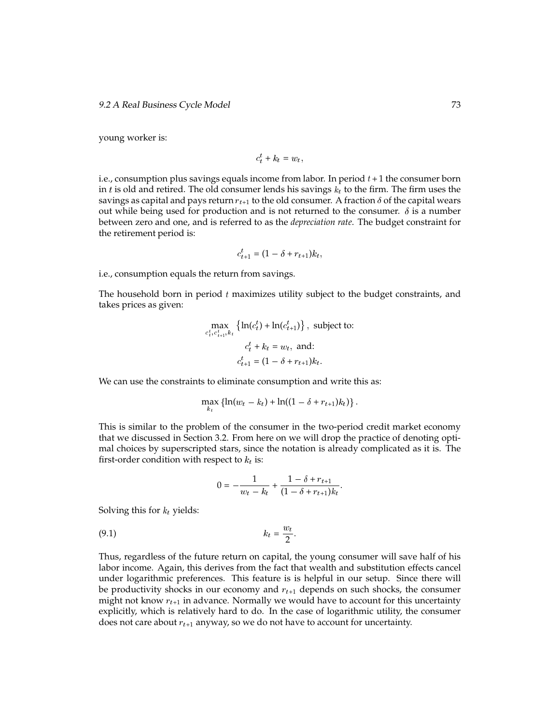young worker is:

$$
c_t^t + k_t = w_t,
$$

i.e., consumption plus savings equals income from labor. In period  $t + 1$  the consumer born in t is old and retired. The old consumer lends his savings  $k_t$  to the firm. The firm uses the savings as capital and pays return  $r_{t+1}$  to the old consumer. A fraction  $\delta$  of the capital wears out while being used for production and is not returned to the consumer.  $\delta$  is a number between zero and one, and is referred to as the *depreciation rate*. The budget constraint for the retirement period is:

$$
c_{t+1}^t = (1 - \delta + r_{t+1})k_t,
$$

i.e., consumption equals the return from savings.

The household born in period  $t$  maximizes utility subject to the budget constraints, and takes prices as given:

$$
\max_{c_t^t, c_{t+1}^t, k_t} \{ \ln(c_t^t) + \ln(c_{t+1}^t) \}, \text{ subject to:}
$$
\n
$$
c_t^t + k_t = w_t, \text{ and:}
$$
\n
$$
c_{t+1}^t = (1 - \delta + r_{t+1})k_t.
$$

We can use the constraints to eliminate consumption and write this as:

$$
\max_{k_t} \left\{ \ln(w_t - k_t) + \ln((1 - \delta + r_{t+1})k_t) \right\}.
$$

This is similar to the problem of the consumer in the two-period credit market economy that we discussed in Section 3.2. From here on we will drop the practice of denoting optimal choices by superscripted stars, since the notation is already complicated as it is. The first-order condition with respect to  $k_t$  is:

$$
0 = -\frac{1}{w_t - k_t} + \frac{1 - \delta + r_{t+1}}{(1 - \delta + r_{t+1})k_t}.
$$

Solving this for  $k_t$  yields:

$$
(9.1) \t\t k_t = \frac{w_t}{2}.
$$

Thus, regardless of the future return on capital, the young consumer will save half of his labor income. Again, this derives from the fact that wealth and substitution effects cancel under logarithmic preferences. This feature is is helpful in our setup. Since there will be productivity shocks in our economy and  $r_{t+1}$  depends on such shocks, the consumer might not know  $r_{t+1}$  in advance. Normally we would have to account for this uncertainty explicitly, which is relatively hard to do. In the case of logarithmic utility, the consumer does not care about  $r_{t+1}$  anyway, so we do not have to account for uncertainty.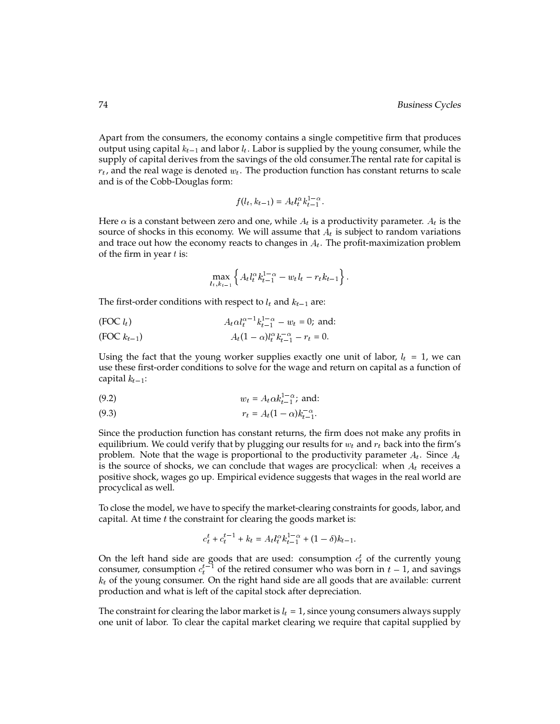Apart from the consumers, the economy contains a single competitive firm that produces output using capital  $k_{t-1}$  and labor  $l_t$ . Labor is supplied by the young consumer, while the supply of capital derives from the savings of the old consumer.The rental rate for capital is  $r_t$ , and the real wage is denoted  $w_t$ . The production function has constant returns to scale and is of the Cobb-Douglas form:

$$
f(l_t, k_{t-1}) = A_t l_t^{\alpha} k_{t-1}^{1-\alpha}.
$$

Here  $\alpha$  is a constant between zero and one, while  $A_t$  is a productivity parameter.  $A_t$  is the source of shocks in this economy. We will assume that  $A_t$  is subject to random variations and trace out how the economy reacts to changes in  $A_t$ . The profit-maximization problem of the firm in year  $t$  is:

$$
\max_{l_t, k_{t-1}} \left\{ A_t l_t^{\alpha} k_{t-1}^{1-\alpha} - w_t l_t - r_t k_{t-1} \right\}.
$$

The first-order conditions with respect to  $l_t$  and  $k_{t-1}$  are:

(FOC 
$$
l_t
$$
)  $A_t \alpha l_t^{\alpha-1} k_{t-1}^{1-\alpha} - w_t = 0$ ; and:

$$
\text{(FOC } k_{t-1}\text{)} \qquad \qquad A_t(1-\alpha)l_t^{\alpha}k_{t-1}^{-\alpha}-r_t=0.
$$

Using the fact that the young worker supplies exactly one unit of labor,  $l_t = 1$ , we can use these first-order conditions to solve for the wage and return on capital as a function of capital  $k_{t-1}$ :

$$
(9.2) \t\t\t w_t = A_t \alpha k_{t-1}^{1-\alpha}; \text{ and:}
$$

rt = At(1 )k t<sup>1</sup> (9.3) :

 $t = \frac{1}{2}$ 

Since the production function has constant returns, the firm does not make any profits in equilibrium. We could verify that by plugging our results for  $w_t$  and  $r_t$  back into the firm's problem. Note that the wage is proportional to the productivity parameter  $A_t$ . Since  $A_t$ is the source of shocks, we can conclude that wages are procyclical: when  $A_t$  receives a positive shock, wages go up. Empirical evidence suggests that wages in the real world are procyclical as well.

To close the model, we have to specify the market-clearing constraints for goods, labor, and capital. At time  $t$  the constraint for clearing the goods market is:

$$
c_t^t + c_t^{t-1} + k_t = A_t l_t^{\alpha} k_{t-1}^{1-\alpha} + (1-\delta) k_{t-1}.
$$

On the left hand side are goods that are used: consumption  $c_t^t$  of the currently young consumer, consumption  $c_t^{t-1}$  of the retired consumer who was born in  $t-1$ , and savings  $k_t$  of the young consumer. On the right hand side are all goods that are available: current production and what is left of the capital stock after depreciation.

The constraint for clearing the labor market is  $l_t = 1$ , since young consumers always supply one unit of labor. To clear the capital market clearing we require that capital supplied by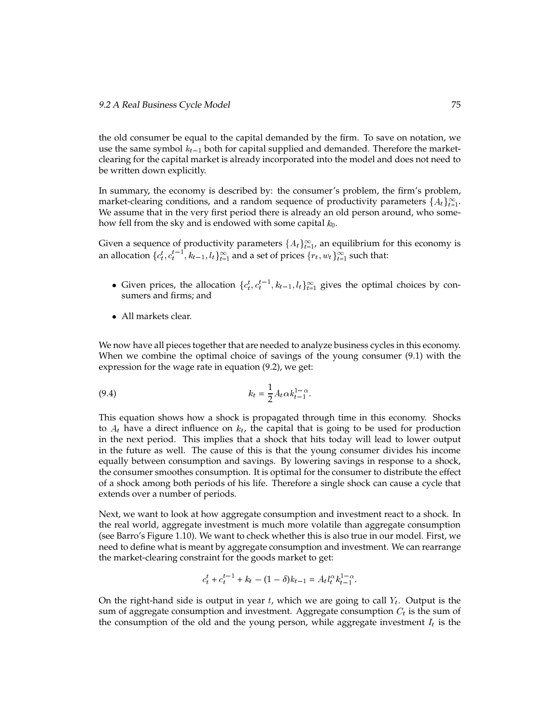the old consumer be equal to the capital demanded by the firm. To save on notation, we use the same symbol  $k_{t-1}$  both for capital supplied and demanded. Therefore the marketclearing for the capital market is already incorporated into the model and does not need to be written down explicitly.

In summary, the economy is described by: the consumer's problem, the firm's problem, market-clearing conditions, and a random sequence of productivity parameters  $\{A_t\}_{t=1}^\infty$ . We assume that in the very first period there is already an old person around, who somehow fell from the sky and is endowed with some capital  $k_0$ .

Given a sequence of productivity parameters  $\{A_t\}_{t=1}^{\infty}$ , an equilibrium for this economy is an allocation  $\{c_t^t, c_t^{t-1}, k_{t-1}, l_t\}_{t=1}^\infty$  and a set of prices  $\{r_t, w_t\}_{t=1}^\infty$  such that:

- Given prices, the allocation  $\{c_t^t, c_t^{t-1}, k_{t-1}, l_t\}_{t=1}^{\infty}$  gives the optimal choices by consumers and firms; and
- All markets clear.

We now have all pieces together that are needed to analyze business cycles in this economy. When we combine the optimal choice of savings of the young consumer (9.1) with the expression for the wage rate in equation (9.2), we get:

(9.4) 
$$
k_t = \frac{1}{2} A_t \alpha k_{t-1}^{1-\alpha}.
$$

This equation shows how a shock is propagated through time in this economy. Shocks to  $A_t$  have a direct influence on  $k_t$ , the capital that is going to be used for production in the next period. This implies that a shock that hits today will lead to lower output in the future as well. The cause of this is that the young consumer divides his income equally between consumption and savings. By lowering savings in response to a shock, the consumer smoothes consumption. It is optimal for the consumer to distribute the effect of a shock among both periods of his life. Therefore a single shock can cause a cycle that extends over a number of periods.

Next, we want to look at how aggregate consumption and investment react to a shock. In the real world, aggregate investment is much more volatile than aggregate consumption (see Barro's Figure 1.10). We want to check whether this is also true in our model. First, we need to define what is meant by aggregate consumption and investment. We can rearrange the market-clearing constraint for the goods market to get:

$$
c_t^t + c_t^{t-1} + k_t - (1 - \delta)k_{t-1} = A_t l_t^{\alpha} k_{t-1}^{1-\alpha}.
$$

On the right-hand side is output in year t, which we are going to call  $Y_t$ . Output is the sum of aggregate consumption and investment. Aggregate consumption  $C_t$  is the sum of the consumption of the old and the young person, while aggregate investment  $I_t$  is the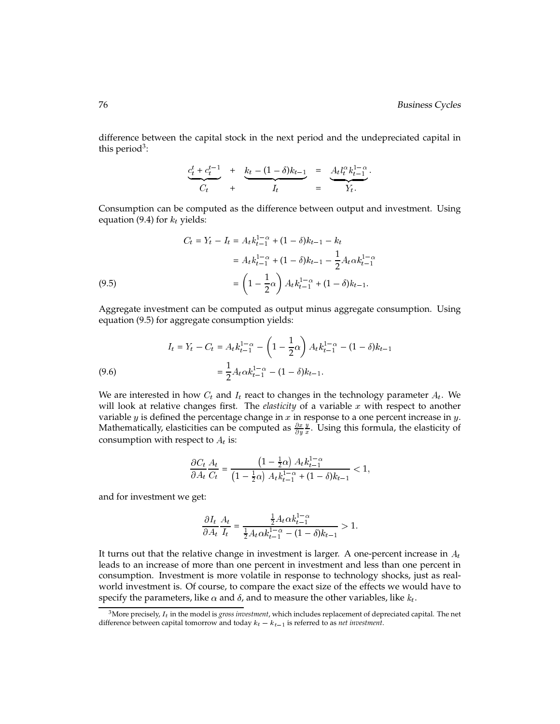difference between the capital stock in the next period and the undepreciated capital in this period<sup>3</sup>:

$$
\frac{c_t^t + c_t^{t-1}}{C_t} + \frac{k_t - (1 - \delta)k_{t-1}}{I_t} = \frac{A_t l_t^{\alpha} k_{t-1}^{1-\alpha}}{Y_t}.
$$

Consumption can be computed as the difference between output and investment. Using equation (9.4) for  $k_t$  yields:

(9.5)  
\n
$$
C_t = Y_t - I_t = A_t k_{t-1}^{1-\alpha} + (1-\delta)k_{t-1} - k_t
$$
\n
$$
= A_t k_{t-1}^{1-\alpha} + (1-\delta)k_{t-1} - \frac{1}{2}A_t \alpha k_{t-1}^{1-\alpha}
$$
\n
$$
= \left(1 - \frac{1}{2}\alpha\right) A_t k_{t-1}^{1-\alpha} + (1-\delta)k_{t-1}.
$$

Aggregate investment can be computed as output minus aggregate consumption. Using equation (9.5) for aggregate consumption yields:

(9.6) 
$$
I_t = Y_t - C_t = A_t k_{t-1}^{1-\alpha} - \left(1 - \frac{1}{2}\alpha\right) A_t k_{t-1}^{1-\alpha} - (1 - \delta) k_{t-1}
$$

$$
= \frac{1}{2} A_t \alpha k_{t-1}^{1-\alpha} - (1 - \delta) k_{t-1}.
$$

We are interested in how  $C_t$  and  $I_t$  react to changes in the technology parameter  $A_t$ . We will look at relative changes first. The *elasticity* of a variable  $x$  with respect to another variable  $y$  is defined the percentage change in  $x$  in response to a one percent increase in  $y$ . Mathematically, elasticities can be computed as  $\frac{\partial x}{\partial y}\frac{y}{x}$ . Using this formula, the elasticity of consumption with respect to  $A_t$  is:

$$
\frac{\partial C_t}{\partial A_t} \frac{A_t}{C_t} = \frac{\left(1 - \frac{1}{2}\alpha\right) A_t k_{t-1}^{1-\alpha}}{\left(1 - \frac{1}{2}\alpha\right) A_t k_{t-1}^{1-\alpha} + (1 - \delta) k_{t-1}} < 1,
$$

and for investment we get:

$$
\frac{\partial I_t}{\partial A_t} \frac{A_t}{I_t} = \frac{\frac{1}{2} A_t \alpha k_{t-1}^{1-\alpha}}{\frac{1}{2} A_t \alpha k_{t-1}^{1-\alpha} - (1-\delta) k_{t-1}} > 1.
$$

It turns out that the relative change in investment is larger. A one-percent increase in  $A_t$ leads to an increase of more than one percent in investment and less than one percent in consumption. Investment is more volatile in response to technology shocks, just as realworld investment is. Of course, to compare the exact size of the effects we would have to specify the parameters, like  $\alpha$  and  $\delta$ , and to measure the other variables, like  $k_t$ .

 $3$ More precisely,  $I_t$  in the model is *gross investment*, which includes replacement of depreciated capital. The net difference between capital tomorrow and today  $k_t - k_{t-1}$  is referred to as *net investment*.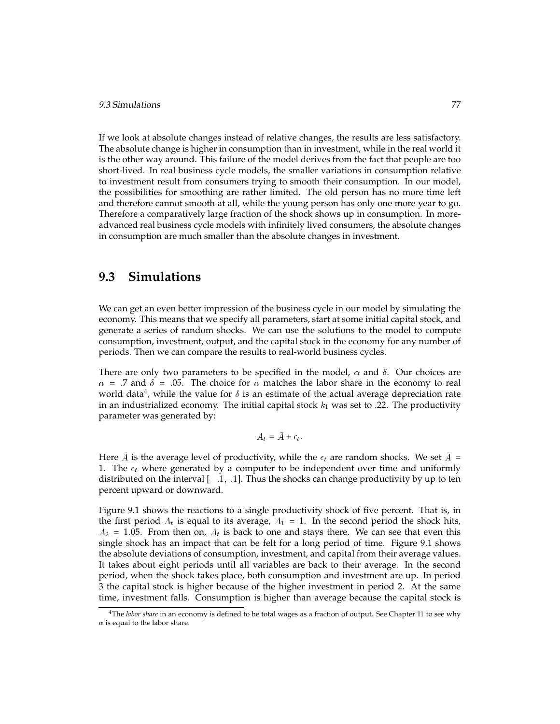#### 9.3 Simulations 77

If we look at absolute changes instead of relative changes, the results are less satisfactory. The absolute change is higher in consumption than in investment, while in the real world it is the other way around. This failure of the model derives from the fact that people are too short-lived. In real business cycle models, the smaller variations in consumption relative to investment result from consumers trying to smooth their consumption. In our model, the possibilities for smoothing are rather limited. The old person has no more time left and therefore cannot smooth at all, while the young person has only one more year to go. Therefore a comparatively large fraction of the shock shows up in consumption. In moreadvanced real business cycle models with infinitely lived consumers, the absolute changes in consumption are much smaller than the absolute changes in investment.

## **9.3 Simulations**

We can get an even better impression of the business cycle in our model by simulating the economy. This means that we specify all parameters, start at some initial capital stock, and generate a series of random shocks. We can use the solutions to the model to compute consumption, investment, output, and the capital stock in the economy for any number of periods. Then we can compare the results to real-world business cycles.

There are only two parameters to be specified in the model,  $\alpha$  and  $\delta$ . Our choices are  $\alpha$  = :7 and  $\delta$  = :05. The choice for  $\alpha$  matches the labor share in the economy to real world data<sup>4</sup>, while the value for  $\delta$  is an estimate of the actual average depreciation rate in an industrialized economy. The initial capital stock  $k_1$  was set to .22. The productivity parameter was generated by:

$$
A_t = \bar{A} + \epsilon_t.
$$

Here  $\bar{A}$  is the average level of productivity, while the  $\epsilon_t$  are random shocks. We set  $\bar{A}$  = 1. The  $\epsilon_t$  where generated by a computer to be independent over time and uniformly distributed on the interval  $[-1, 1]$ . Thus the shocks can change productivity by up to ten percent upward or downward.

Figure 9.1 shows the reactions to a single productivity shock of five percent. That is, in the first period  $A_t$  is equal to its average,  $A_1 = 1$ . In the second period the shock hits,  $A_2 = 1.05$ . From then on,  $A_t$  is back to one and stays there. We can see that even this single shock has an impact that can be felt for a long period of time. Figure 9.1 shows the absolute deviations of consumption, investment, and capital from their average values. It takes about eight periods until all variables are back to their average. In the second period, when the shock takes place, both consumption and investment are up. In period 3 the capital stock is higher because of the higher investment in period 2. At the same time, investment falls. Consumption is higher than average because the capital stock is

<sup>&</sup>lt;sup>4</sup>The *labor share* in an economy is defined to be total wages as a fraction of output. See Chapter 11 to see why  $\alpha$  is equal to the labor share.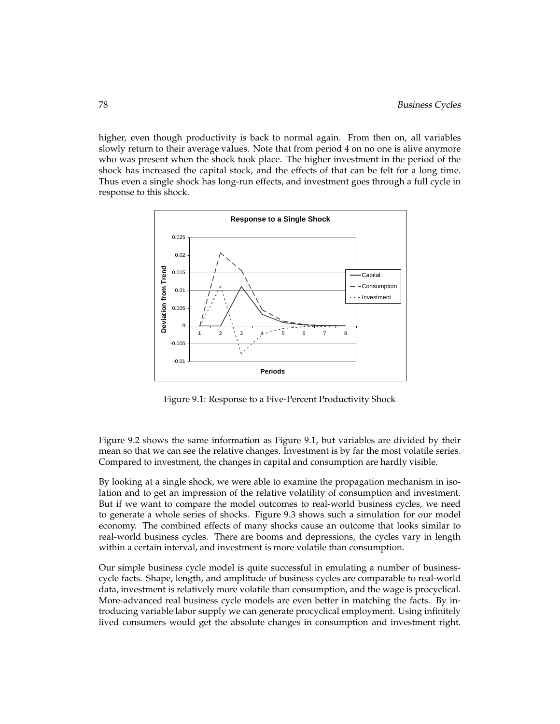higher, even though productivity is back to normal again. From then on, all variables slowly return to their average values. Note that from period 4 on no one is alive anymore who was present when the shock took place. The higher investment in the period of the shock has increased the capital stock, and the effects of that can be felt for a long time. Thus even a single shock has long-run effects, and investment goes through a full cycle in response to this shock.



Figure 9.1: Response to a Five-Percent Productivity Shock

Figure 9.2 shows the same information as Figure 9.1, but variables are divided by their mean so that we can see the relative changes. Investment is by far the most volatile series. Compared to investment, the changes in capital and consumption are hardly visible.

By looking at a single shock, we were able to examine the propagation mechanism in isolation and to get an impression of the relative volatility of consumption and investment. But if we want to compare the model outcomes to real-world business cycles, we need to generate a whole series of shocks. Figure 9.3 shows such a simulation for our model economy. The combined effects of many shocks cause an outcome that looks similar to real-world business cycles. There are booms and depressions, the cycles vary in length within a certain interval, and investment is more volatile than consumption.

Our simple business cycle model is quite successful in emulating a number of businesscycle facts. Shape, length, and amplitude of business cycles are comparable to real-world data, investment is relatively more volatile than consumption, and the wage is procyclical. More-advanced real business cycle models are even better in matching the facts. By introducing variable labor supply we can generate procyclical employment. Using infinitely lived consumers would get the absolute changes in consumption and investment right.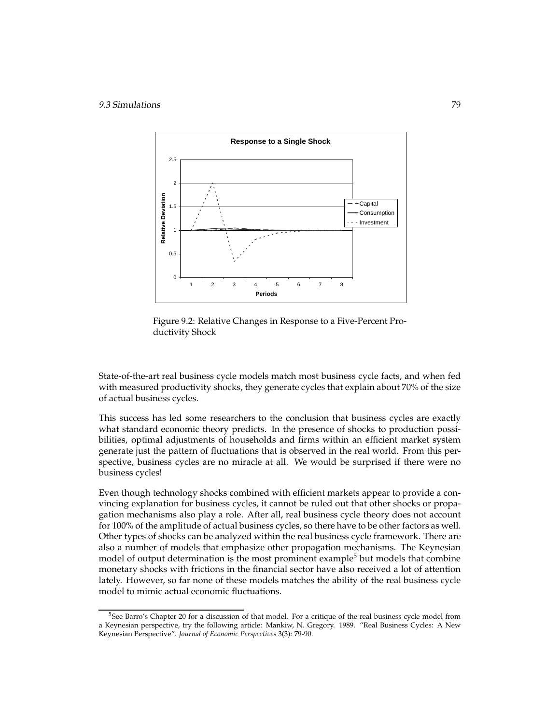

Figure 9.2: Relative Changes in Response to a Five-Percent Productivity Shock

State-of-the-art real business cycle models match most business cycle facts, and when fed with measured productivity shocks, they generate cycles that explain about 70% of the size of actual business cycles.

This success has led some researchers to the conclusion that business cycles are exactly what standard economic theory predicts. In the presence of shocks to production possibilities, optimal adjustments of households and firms within an efficient market system generate just the pattern of fluctuations that is observed in the real world. From this perspective, business cycles are no miracle at all. We would be surprised if there were no business cycles!

Even though technology shocks combined with efficient markets appear to provide a convincing explanation for business cycles, it cannot be ruled out that other shocks or propagation mechanisms also play a role. After all, real business cycle theory does not account for 100% of the amplitude of actual business cycles, so there have to be other factors as well. Other types of shocks can be analyzed within the real business cycle framework. There are also a number of models that emphasize other propagation mechanisms. The Keynesian model of output determination is the most prominent example<sup>5</sup> but models that combine monetary shocks with frictions in the financial sector have also received a lot of attention lately. However, so far none of these models matches the ability of the real business cycle model to mimic actual economic fluctuations.

<sup>&</sup>lt;sup>5</sup>See Barro's Chapter 20 for a discussion of that model. For a critique of the real business cycle model from a Keynesian perspective, try the following article: Mankiw, N. Gregory. 1989. "Real Business Cycles: A New Keynesian Perspective". *Journal of Economic Perspectives* 3(3): 79-90.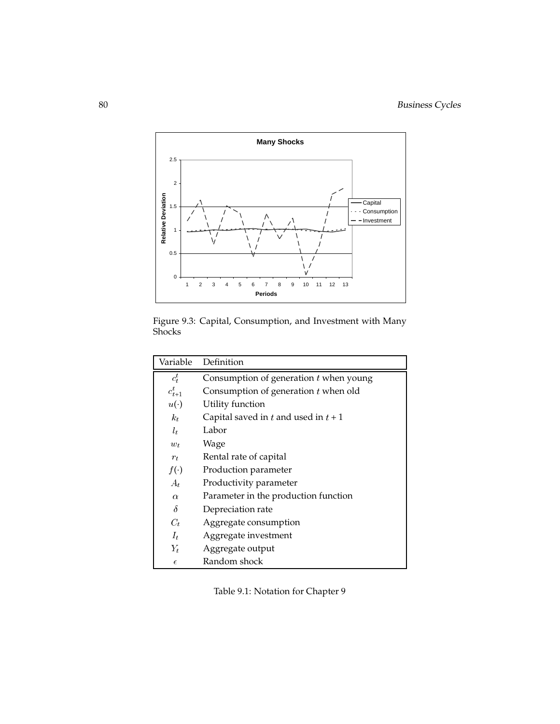

Figure 9.3: Capital, Consumption, and Investment with Many Shocks

| Variable    | Definition                               |
|-------------|------------------------------------------|
| $c_t^t$     | Consumption of generation $t$ when young |
| $c_{t+1}^t$ | Consumption of generation $t$ when old   |
| $u(\cdot)$  | Utility function                         |
| $k_t$       | Capital saved in $t$ and used in $t + 1$ |
| $l_t$       | Labor                                    |
| $w_t$       | Wage                                     |
| $r_t$       | Rental rate of capital                   |
| f()         | Production parameter                     |
| $A_t$       | Productivity parameter                   |
| $\alpha$    | Parameter in the production function     |
| $\delta$    | Depreciation rate                        |
| $C_t$       | Aggregate consumption                    |
| $I_t$       | Aggregate investment                     |
| $Y_t$       | Aggregate output                         |
| $\epsilon$  | Random shock                             |

Table 9.1: Notation for Chapter 9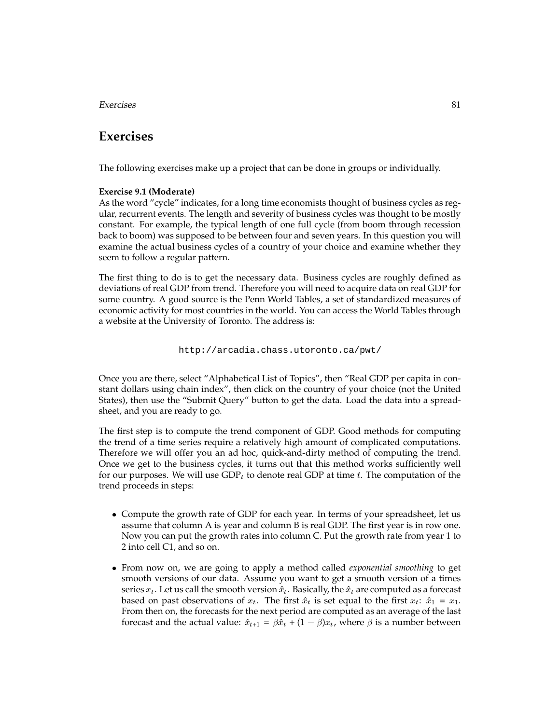#### Exercises 81

### **Exercises**

The following exercises make up a project that can be done in groups or individually.

#### **Exercise 9.1 (Moderate)**

As the word "cycle" indicates, for a long time economists thought of business cycles as regular, recurrent events. The length and severity of business cycles was thought to be mostly constant. For example, the typical length of one full cycle (from boom through recession back to boom) was supposed to be between four and seven years. In this question you will examine the actual business cycles of a country of your choice and examine whether they seem to follow a regular pattern.

The first thing to do is to get the necessary data. Business cycles are roughly defined as deviations of real GDP from trend. Therefore you will need to acquire data on real GDP for some country. A good source is the Penn World Tables, a set of standardized measures of economic activity for most countries in the world. You can access the World Tables through a website at the University of Toronto. The address is:

http://arcadia.chass.utoronto.ca/pwt/

Once you are there, select "Alphabetical List of Topics", then "Real GDP per capita in constant dollars using chain index", then click on the country of your choice (not the United States), then use the "Submit Query" button to get the data. Load the data into a spreadsheet, and you are ready to go.

The first step is to compute the trend component of GDP. Good methods for computing the trend of a time series require a relatively high amount of complicated computations. Therefore we will offer you an ad hoc, quick-and-dirty method of computing the trend. Once we get to the business cycles, it turns out that this method works sufficiently well for our purposes. We will use  $GDP_t$  to denote real GDP at time t. The computation of the trend proceeds in steps:

- Compute the growth rate of GDP for each year. In terms of your spreadsheet, let us assume that column A is year and column B is real GDP. The first year is in row one. Now you can put the growth rates into column C. Put the growth rate from year 1 to 2 into cell C1, and so on.
- From now on, we are going to apply a method called *exponential smoothing* to get smooth versions of our data. Assume you want to get a smooth version of a times series  $x_t$ . Let us call the smooth version  $\hat{x}_t$ . Basically, the  $\hat{x}_t$  are computed as a forecast based on past observations of  $x_t$ . The first  $\hat{x}_t$  is set equal to the first  $x_t$ :  $\hat{x}_1 = x_1$ . From then on, the forecasts for the next period are computed as an average of the last forecast and the actual value:  $\hat{x}_{t+1} = \beta \hat{x}_t + (1 - \beta)x_t$ , where  $\beta$  is a number between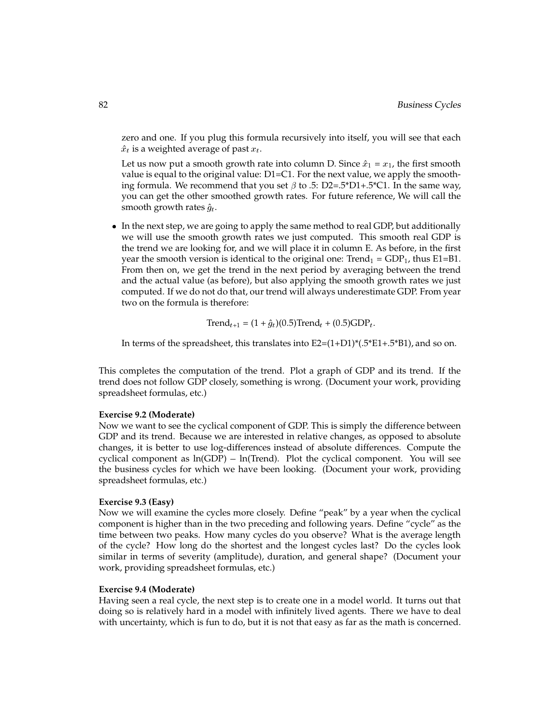zero and one. If you plug this formula recursively into itself, you will see that each  $\hat{x}_t$  is a weighted average of past  $x_t$ .

Let us now put a smooth growth rate into column D. Since  $\hat{x}_1 = x_1$ , the first smooth value is equal to the original value: D1=C1. For the next value, we apply the smoothing formula. We recommend that you set  $\beta$  to .5: D2=.5\*D1+.5\*C1. In the same way, you can get the other smoothed growth rates. For future reference, We will call the smooth growth rates  $\hat{g}_t$ .

 In the next step, we are going to apply the same method to real GDP, but additionally we will use the smooth growth rates we just computed. This smooth real GDP is the trend we are looking for, and we will place it in column E. As before, in the first year the smooth version is identical to the original one:  $Trend_1 = GDP_1$ , thus  $E1 = B1$ . From then on, we get the trend in the next period by averaging between the trend and the actual value (as before), but also applying the smooth growth rates we just computed. If we do not do that, our trend will always underestimate GDP. From year two on the formula is therefore:

$$
Trend_{t+1} = (1 + \hat{g}_t)(0.5) \text{Trend}_t + (0.5) \text{GDP}_t.
$$

In terms of the spreadsheet, this translates into E2=(1+D1)\*(.5\*E1+.5\*B1), and so on.

This completes the computation of the trend. Plot a graph of GDP and its trend. If the trend does not follow GDP closely, something is wrong. (Document your work, providing spreadsheet formulas, etc.)

#### **Exercise 9.2 (Moderate)**

Now we want to see the cyclical component of GDP. This is simply the difference between GDP and its trend. Because we are interested in relative changes, as opposed to absolute changes, it is better to use log-differences instead of absolute differences. Compute the cyclical component as  $ln(GDP) - ln(Trend)$ . Plot the cyclical component. You will see the business cycles for which we have been looking. (Document your work, providing spreadsheet formulas, etc.)

#### **Exercise 9.3 (Easy)**

Now we will examine the cycles more closely. Define "peak" by a year when the cyclical component is higher than in the two preceding and following years. Define "cycle" as the time between two peaks. How many cycles do you observe? What is the average length of the cycle? How long do the shortest and the longest cycles last? Do the cycles look similar in terms of severity (amplitude), duration, and general shape? (Document your work, providing spreadsheet formulas, etc.)

#### **Exercise 9.4 (Moderate)**

Having seen a real cycle, the next step is to create one in a model world. It turns out that doing so is relatively hard in a model with infinitely lived agents. There we have to deal with uncertainty, which is fun to do, but it is not that easy as far as the math is concerned.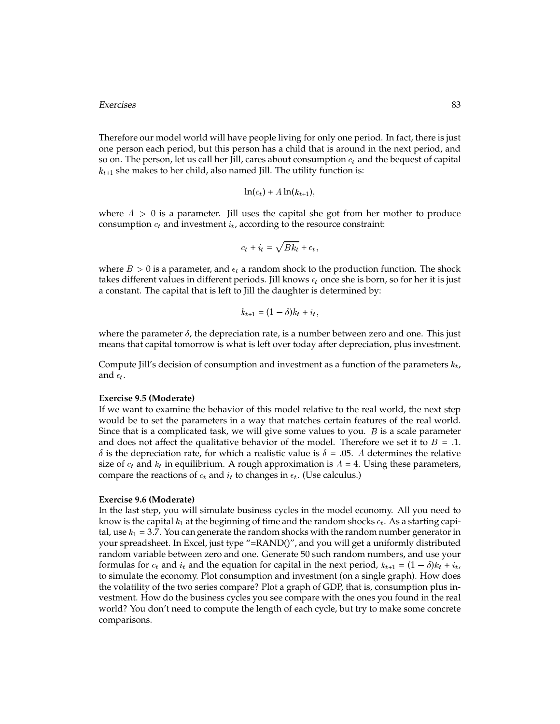#### Exercises 83

Therefore our model world will have people living for only one period. In fact, there is just one person each period, but this person has a child that is around in the next period, and so on. The person, let us call her Jill, cares about consumption  $c_t$  and the bequest of capital  $k_{t+1}$  she makes to her child, also named Jill. The utility function is:

$$
\ln(c_t) + A \ln(k_{t+1}),
$$

where  $A > 0$  is a parameter. Jill uses the capital she got from her mother to produce consumption  $c_t$  and investment  $i_t$ , according to the resource constraint:

$$
c_t + i_t = \sqrt{Bk_t} + \epsilon_t,
$$

where  $B > 0$  is a parameter, and  $\epsilon_t$  a random shock to the production function. The shock takes different values in different periods. Jill knows  $\epsilon_t$  once she is born, so for her it is just a constant. The capital that is left to Jill the daughter is determined by:

$$
k_{t+1} = (1 - \delta)k_t + i_t,
$$

where the parameter  $\delta$ , the depreciation rate, is a number between zero and one. This just means that capital tomorrow is what is left over today after depreciation, plus investment.

Compute Jill's decision of consumption and investment as a function of the parameters  $k_t$ , and  $\epsilon_t$ .

#### **Exercise 9.5 (Moderate)**

If we want to examine the behavior of this model relative to the real world, the next step would be to set the parameters in a way that matches certain features of the real world. Since that is a complicated task, we will give some values to you.  $B$  is a scale parameter and does not affect the qualitative behavior of the model. Therefore we set it to  $B = .1$ .  $\delta$  is the depreciation rate, for which a realistic value is  $\delta = .05$ . A determines the relative size of  $c_t$  and  $k_t$  in equilibrium. A rough approximation is  $A = 4$ . Using these parameters, compare the reactions of  $c_t$  and  $i_t$  to changes in  $\epsilon_t$ . (Use calculus.)

#### **Exercise 9.6 (Moderate)**

In the last step, you will simulate business cycles in the model economy. All you need to know is the capital  $k_1$  at the beginning of time and the random shocks  $\epsilon_t$ . As a starting capital, use  $k_1 = 3.7$ . You can generate the random shocks with the random number generator in your spreadsheet. In Excel, just type "=RAND()", and you will get a uniformly distributed random variable between zero and one. Generate 50 such random numbers, and use your formulas for  $c_t$  and  $i_t$  and the equation for capital in the next period,  $k_{t+1} = (1 - \delta)k_t + i_t$ , to simulate the economy. Plot consumption and investment (on a single graph). How does the volatility of the two series compare? Plot a graph of GDP, that is, consumption plus investment. How do the business cycles you see compare with the ones you found in the real world? You don't need to compute the length of each cycle, but try to make some concrete comparisons.